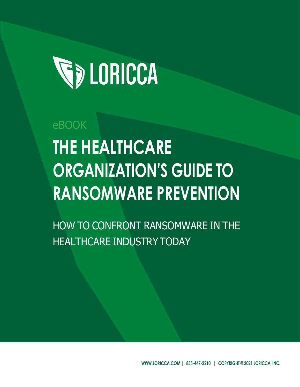

# eBOOK **THE HEALTHCARE ORGANIZATION'S GUIDE TO RANSOMWARE PREVENTION**

HOW TO CONFRONT RANSOMWARE IN THE HEALTHCARE INDUSTRY TODAY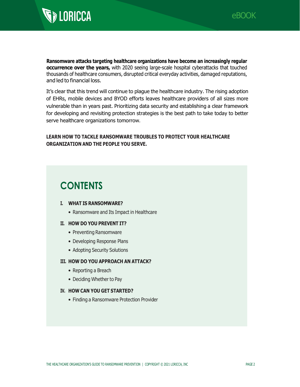

**Ransomware attacks targeting healthcare organizations have become an increasingly regular occurrence over the years,** with 2020 seeing large-scale hospital cyberattacks that touched thousands of healthcare consumers, disrupted critical everyday activities, damaged reputations, and led to financial loss.

It's clear that this trend will continue to plague the healthcare industry. The rising adoption of EHRs, mobile devices and BYOD efforts leaves healthcare providers of all sizes more vulnerable than in years past. Prioritizing data security and establishing a clear framework for developing and revisiting protection strategies is the best path to take today to better serve healthcare organizations tomorrow.

### **LEARN HOW TO TACKLE RANSOMWARE TROUBLES TO PROTECT YOUR HEALTHCARE ORGANIZATION AND THE PEOPLE YOU SERVE.**

## **CONTENTS**

### **I. WHAT IS RANSOMWARE?**

• Ransomware and Its Impact in Healthcare

### **II. HOW DO YOU PREVENT IT?**

- Preventing Ransomware
- Developing Response Plans
- Adopting Security Solutions

### **III. HOW DO YOU APPROACH AN ATTACK?**

- Reporting a Breach
- Deciding Whether to Pay

### **IV. HOW CAN YOU GET STARTED?**

• Finding a Ransomware Protection Provider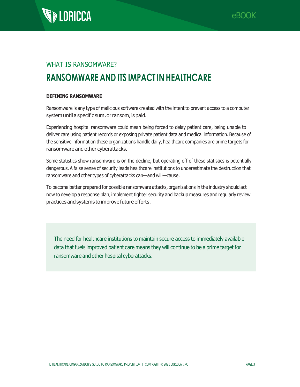

### WHAT IS RANSOMWARE?

# **RANSOMWARE AND ITS IMPACT IN HEALTHCARE**

### **DEFINING RANSOMWARE**

Ransomware is any type of malicious software created with the intent to prevent access to a computer system until a specific sum, or ransom, is paid.

Experiencing hospital ransomware could mean being forced to delay patient care, being unable to deliver care using patient records or exposing private patient data and medical information. Because of the sensitive information these organizations handle daily, healthcare companies are prime targets for ransomware and other cyberattacks.

Some statistics show ransomware is on the decline, but operating off of these statistics is potentially dangerous. A false sense of security leads healthcare institutions to underestimate the destruction that ransomware and other types of cyberattacks can—and will—cause.

To become better prepared for possible ransomware attacks, organizations in the industry should act now to develop a response plan, implement tighter security and backup measures and regularly review practices and systems to improve future efforts.

The need for healthcare institutions to maintain secure access to immediately available data that fuels improved patient care means they will continue to be a prime target for ransomware and other hospital cyberattacks.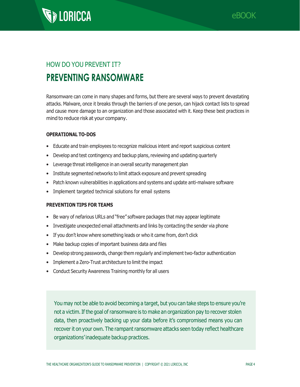



# HOW DO YOU PREVENT IT? **PREVENTING RANSOMWARE**

Ransomware can come in many shapes and forms, but there are several ways to prevent devastating attacks. Malware, once it breaks through the barriers of one person, can hijack contact lists to spread and cause more damage to an organization and those associated with it. Keep these best practices in mind to reduce risk at your company.

### **OPERATIONAL TO-DOS**

- Educate and train employees to recognize malicious intent and report suspicious content
- Develop and test contingency and backup plans, reviewing and updating quarterly
- Leverage threat intelligence in an overall security management plan
- Institute segmented networks to limit attack exposure and prevent spreading
- Patch known vulnerabilities in applications and systems and update anti-malware software
- Implement targeted technical solutions for email systems

### **PREVENTION TIPS FOR TEAMS**

- Be wary of nefarious URLs and "free" software packages that may appear legitimate
- Investigate unexpected email attachments and links by contacting the sender via phone
- If you don't know where something leads or who it came from, don't click
- Make backup copies of important business data and files
- Develop strong passwords, change them regularly and implement two-factor authentication
- Implement a Zero-Trust architecture to limit the impact
- Conduct Security Awareness Training monthly for all users

You may not be able to avoid becoming a target, but you can take steps to ensure you're not a victim. If the goal of ransomware is to make an organization pay to recover stolen data, then proactively backing up your data before it's compromised means you can recover it on your own. The rampant ransomware attacks seen today reflect healthcare organizations' inadequate backup practices.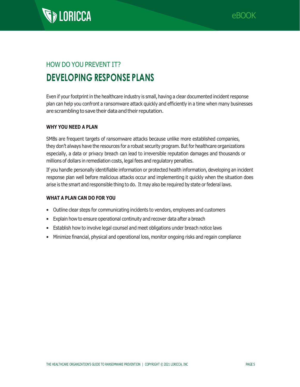

# HOW DO YOU PREVENT IT? **DEVELOPING RESPONSE PLANS**

Even if your footprint in the healthcare industry is small, having a clear documented incident response plan can help you confront a ransomware attack quickly and efficiently in a time when many businesses are scrambling to save their data and their reputation.

### **WHY YOU NEED A PLAN**

SMBs are frequent targets of ransomware attacks because unlike more established companies, they don't always have the resources for a robust security program. But for healthcare organizations especially, a data or privacy breach can lead to irreversible reputation damages and thousands or millions of dollars in remediation costs, legal fees and regulatory penalties.

If you handle personally identifiable information or protected health information, developing an incident response plan well before malicious attacks occur and implementing it quickly when the situation does arise is the smart and responsible thing to do. It may also be required by state or federal laws.

### **WHAT A PLAN CAN DO FOR YOU**

- Outline clear steps for communicating incidents to vendors, employees and customers
- Explain how to ensure operational continuity and recover data after a breach
- Establish how to involve legal counsel and meet obligations under breach notice laws
- Minimize financial, physical and operational loss, monitor ongoing risks and regain compliance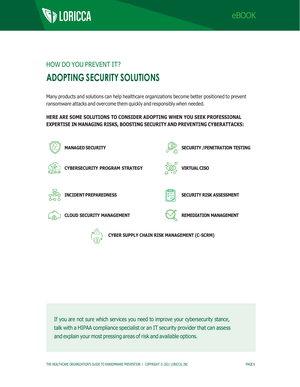



# HOW DO YOU PREVENT IT? **ADOPTING SECURITY SOLUTIONS**

Many products and solutions can help healthcare organizations become better positioned to prevent ransomware attacks and overcome them quickly and responsibly when needed.

### **HERE ARE SOME SOLUTIONS TO CONSIDER ADOPTING WHEN YOU SEEK PROFESSIONAL EXPERTISE IN MANAGING RISKS, BOOSTING SECURITY AND PREVENTING CYBERATTACKS:**



If you are not sure which services you need to improve your cybersecurity stance, talk with a HIPAA compliance specialist or an IT security provider that can assess and explain your most pressing areas of risk and available options.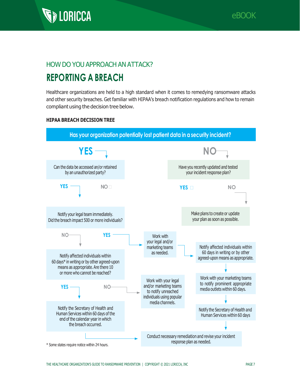

### HOW DO YOU APPROACH AN ATTACK? **REPORTING A BREACH**

Healthcare organizations are held to a high standard when it comes to remedying ransomware attacks and other security breaches. Get familiar with HIPAA's breach notification regulations and how to remain compliant using the decision tree below.

### **HIPAA BREACH DECISION TREE**

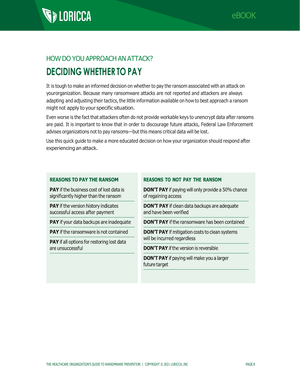

# **SEDENCEA**

# HOW DO YOU APPROACH AN ATTACK? **DECIDING WHETHER TO PAY**

It is tough to make an informed decision on whether to pay the ransom associated with an attack on yourorganization. Because many ransomware attacks are not reported and attackers are always adapting and adjusting their tactics, the little information available on how to best approach a ransom might not apply to your specific situation.

Even worse is the fact that attackers often do not provide workable keys to unencrypt data after ransoms are paid. It is important to know that in order to discourage future attacks, Federal Law Enforcement advises organizations not to pay ransoms—but this means critical data will be lost.

Use this quick guide to make a more educated decision on how your organization should respond after experiencing an attack.

### **REASONS TO PAY THE RANSOM**

**PAY** if the business cost of lost data is significantly higher than the ransom

**PAY** if the version history indicates successful access after payment

**PAY** if your data backups are inadequate

**PAY** if the ransomware is not contained

PAY if all options for restoring lost data are unsuccessful

### **REASONS TO NOT PAY THE RANSOM**

**DON'T PAY** if paying will only provide a 50% chance of regaining access

**DON'T PAY** if clean data backups are adequate and have been verified

**DON'T PAY** if the ransomware has been contained

**DON'T PAY** if mitigation costs to clean systems will be incurred regardless

**DON'T PAY** if the version is reversible

**DON'T PAY** if paying will make you a larger future target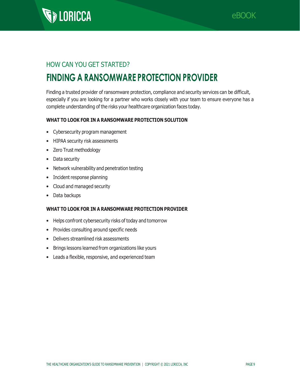

### HOW CAN YOU GET STARTED?

# **FINDING A RANSOMWARE PROTECTION PROVIDER**

Finding a trusted provider of ransomware protection, compliance and security services can be difficult, especially if you are looking for a partner who works closely with your team to ensure everyone has a complete understanding of the risks your healthcare organization faces today.

### **WHAT TO LOOK FOR IN A RANSOMWARE PROTECTION SOLUTION**

- Cybersecurity program management
- HIPAA security risk assessments
- Zero Trust methodology
- Data security
- Network vulnerability and penetration testing
- Incident response planning
- Cloud and managed security
- Data backups

### **WHAT TO LOOK FOR IN A RANSOMWARE PROTECTION PROVIDER**

- Helps confront cybersecurity risks of today and tomorrow
- Provides consulting around specific needs
- Delivers streamlined risk assessments
- Brings lessons learned from organizations like yours
- Leads a flexible, responsive, and experienced team